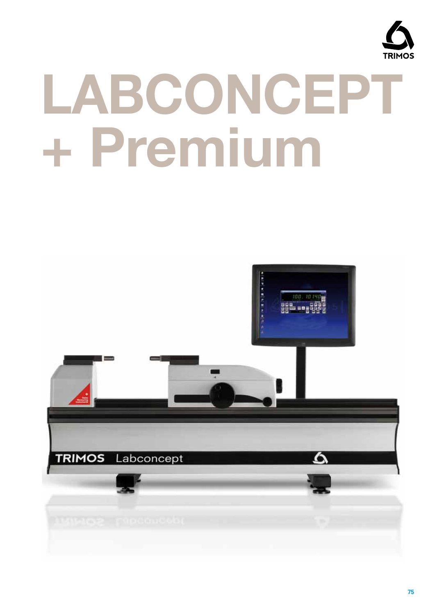

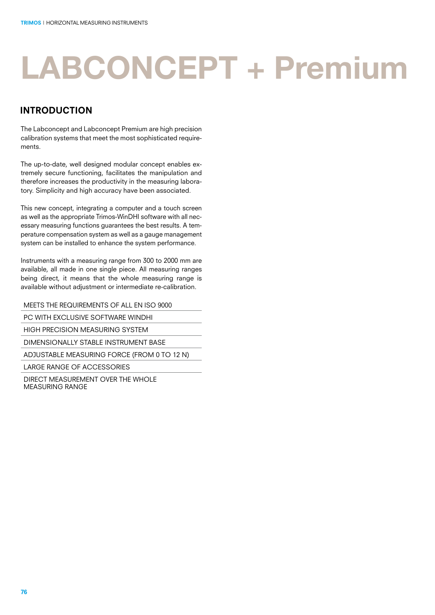#### introduction

The Labconcept and Labconcept Premium are high precision calibration systems that meet the most sophisticated requirements.

The up-to-date, well designed modular concept enables extremely secure functioning, facilitates the manipulation and therefore increases the productivity in the measuring laboratory. Simplicity and high accuracy have been associated.

This new concept, integrating a computer and a touch screen as well as the appropriate Trimos-WinDHI software with all necessary measuring functions guarantees the best results. A temperature compensation system as well as a gauge management system can be installed to enhance the system performance.

Instruments with a measuring range from 300 to 2000 mm are available, all made in one single piece. All measuring ranges being direct, it means that the whole measuring range is available without adjustment or intermediate re-calibration.

MEETS THE REQUIREMENTS OF ALL EN ISO 9000

PC WITH EXCLUSIVE SOFTWARE WINDHI

HIGH PRECISION MEASURING SYSTEM

DIMENSIONALLY STABLE INSTRUMENT BASE

ADJUSTABLE MEASURING FORCE (FROM 0 TO 12 N)

LARGE RANGE OF ACCESSORIES

DIRECT MEASUREMENT OVER THE WHOLE MEASURING RANGE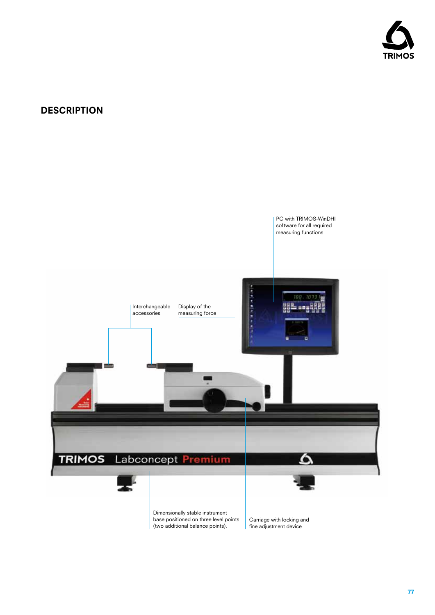

### **DESCRIPTION**

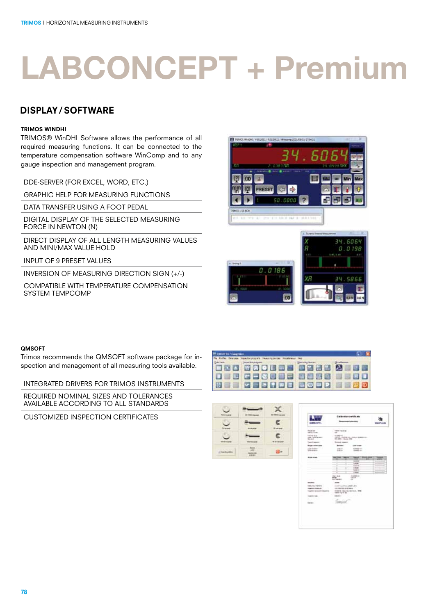#### display/ software

#### TRIMOS WinDHI

TRIMOS® WinDHI Software allows the performance of all required measuring functions. It can be connected to the temperature compensation software WinComp and to any gauge inspection and management program.

DDE-SERVER (FOR EXCEL, WORD, ETC.)

GRAPHIC HELP FOR MEASURING FUNCTIONS

DATA TRANSFER USING A FOOT PEDAL

DIGITAL DISPLAY OF THE SELECTED MEASURING FORCE IN NEWTON (N)

DIRECT DISPLAY OF ALL LENGTH MEASURING VALUES AND MINI/MAX VALUE HOLD

INPUT OF 9 PRESET VALUES

INVERSION OF MEASURING DIRECTION SIGN (+/-)

COMPATIBLE WITH TEMPERATURE COMPENSATION SYSTEM TEMPCOMP





#### QMSOFT

Trimos recommends the QMSOFT software package for inspection and management of all measuring tools available.

INTEGRATED DRIVERS FOR TRIMOS INSTRUMENTS

REQUIRED NOMINAL SIZES AND TOLERANCES AVAILABLE ACCORDING TO ALL STANDARDS

CUSTOMIZED INSPECTION CERTIFICATES





| CHINDFT-                                      | Californitas switch and<br><b>Researchment LutherMeet</b><br>v.<br>٦                                                                                                                                                                                                                                | <b><i>ARLAM</i></b>               |
|-----------------------------------------------|-----------------------------------------------------------------------------------------------------------------------------------------------------------------------------------------------------------------------------------------------------------------------------------------------------|-----------------------------------|
| <b>No an one</b><br>141511-006                | <b>CONTRACT</b><br><b>INSTRUCTS</b><br>٠<br><b>TELL</b>                                                                                                                                                                                                                                             |                                   |
| ---                                           | $-144000$ mm<br>" EM and constitute their children's departments."<br><b>ELEN - Date IN</b><br>a wasan kacamatan Ing<br>43                                                                                                                                                                          |                                   |
| <b>MARCHER</b>                                | ¥<br>Rental Health                                                                                                                                                                                                                                                                                  |                                   |
| <b>Baum Autom Away</b>                        | ī<br><b>Brooklyn</b><br><b>ANTI-MARK COMPANY</b>                                                                                                                                                                                                                                                    |                                   |
| come completed to the first<br>the structure. | DRUG 1<br>to antist out<br><b>DOM: UNK</b><br>$44 - 1$<br>×                                                                                                                                                                                                                                         | <b>TRY FIGHT</b>                  |
| ----                                          | <b>MAAR</b><br><b>Selection</b><br><b>The Contract of Con-</b><br>--<br>a f<br>-<br>×<br>۰<br>. .<br>---<br>۰<br><b>Links</b><br><b>Walve</b><br>Tology<br>FL Alakula<br><b>Time</b><br><b>Harry Ave</b><br>christials were<br><b>SALE OF</b><br><b>SELECT</b><br><b><i><u>SECTION</u></i></b><br>÷ | <b>Summer</b><br>-<br>-<br>÷<br>٠ |
|                                               | $-0.000$<br>country could be added. It's<br>controlled but artis Denis<br><b>Redenti Associa nacistica, test</b><br>them the to the                                                                                                                                                                 |                                   |
| reservoire.<br>agarna<br>÷<br>lateran-        | $1.63 - 1$<br>٠<br>$443.06 +$                                                                                                                                                                                                                                                                       |                                   |
|                                               |                                                                                                                                                                                                                                                                                                     |                                   |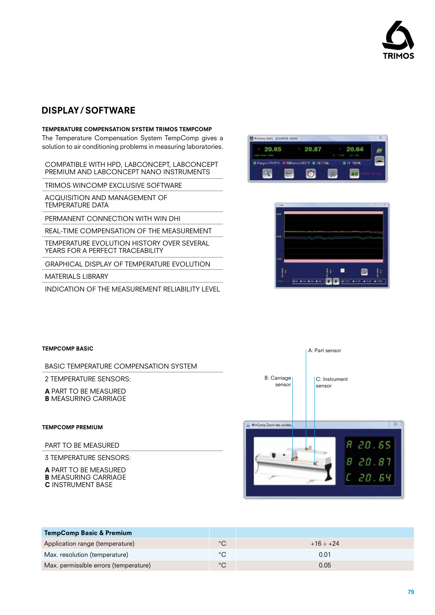

#### display/ software

#### TEMPERATURE COMPENSATION SYSTEM TRIMOS TEMPCOMP

The Temperature Compensation System TempComp gives a solution to air conditioning problems in measuring laboratories.

COMPATIBLE WITH HPD, LABCONCEPT, LABCONCEPT PREMIUM AND LABCONCEPT NANO INSTRUMENTS

TRIMOS WINCOMP FXCLUSIVE SOFTWARE

ACQUISITION AND MANAGEMENT OF TEMPERATURE DATA

PERMANENT CONNECTION WITH WIN DHI

REAL-TIME COMPENSATION OF THE MEASUREMENT

TEMPERATURE EVOLUTION HISTORY OVER SEVERAL YEARS FOR A PERFECT TRACEABILITY

GRAPHICAL DISPLAY OF TEMPERATURE EVOLUTION

MATERIALS LIBRARY

INDICATION OF THE MEASUREMENT RELIABILITY LEVEL





#### TempComp Basic A: Part sensor BASIC TEMPERATURE COMPENSATION SYSTEM 2 TEMPERATURE SENSORS: B: Carriage C: Instrument sensor sensor A PART TO BE MEASURED B MEASURING CARRIAGE WinComp Zoom des sonde TempComp Premium PART TO BE MEASURED 3 TEMPERATURE SENSORS:

A PART TO BE MEASURED **B** MEASURING CARRIAGE C INSTRUMENT BASE



| <b>TempComp Basic &amp; Premium</b>   |             |                |
|---------------------------------------|-------------|----------------|
| Application range (temperature)       | $^{\circ}C$ | $+16 \div +24$ |
| Max. resolution (temperature)         | °С          | 0.01           |
| Max. permissible errors (temperature) | °С          | 0.05           |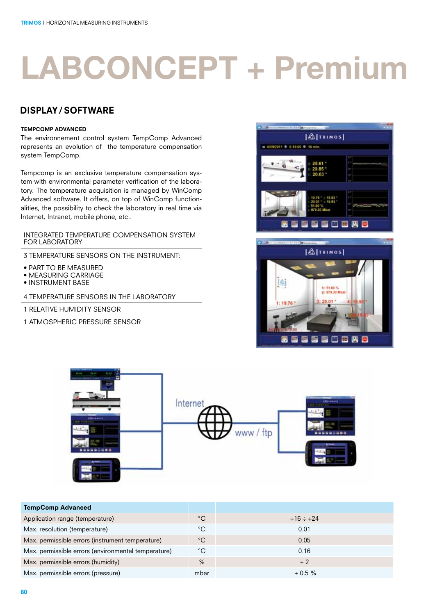#### display/ software

#### TempComp Advanced

The environnement control system TempComp Advanced represents an evolution of the temperature compensation system TempComp.

Tempcomp is an exclusive temperature compensation system with environmental parameter verification of the laboratory. The temperature acquisition is managed by WinComp Advanced software. It offers, on top of WinComp functionalities, the possibility to check the laboratory in real time via Internet, Intranet, mobile phone, etc..

INTEGRATED TEMPERATURE COMPENSATION SYSTEM FOR LABORATORY

- 3 TEMPERATURE SENSORS ON THE INSTRUMENT:
- PART TO BE MEASURED
- MEASURING CARRIAGE
- INSTRUMENT BASE

4 TEMPERATURE SENSORS IN THE LABORATORY

- 1 RELATIVE HUMIDITY SENSOR
- 1 ATMOSPHERIC PRESSURE SENSOR







| <b>TempComp Advanced</b>                            |             |                |
|-----------------------------------------------------|-------------|----------------|
| Application range (temperature)                     | $^{\circ}C$ | $+16 \div +24$ |
| Max. resolution (temperature)                       | $^{\circ}C$ | 0.01           |
| Max. permissible errors (instrument temperature)    | $^{\circ}C$ | 0.05           |
| Max. permissible errors (environmental temperature) | $^{\circ}C$ | 0.16           |
| Max. permissible errors (humidity)                  | $\%$        | ± 2            |
| Max. permissible errors (pressure)                  | mbar        | $\pm 0.5 \%$   |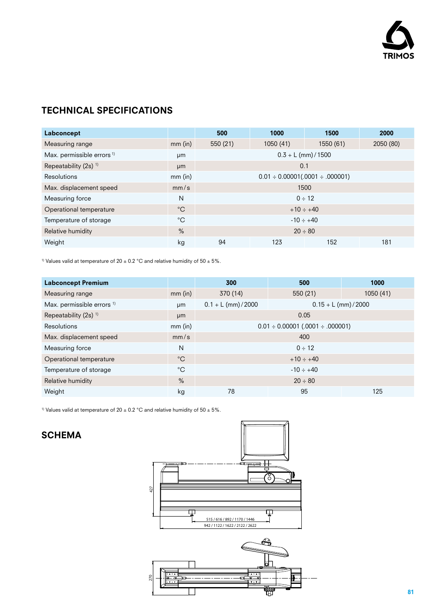

### TECHNICAL SPECIFICATIONS

| Labconcept                            |              | 500                                     | 1000      | 1500      | 2000      |
|---------------------------------------|--------------|-----------------------------------------|-----------|-----------|-----------|
| Measuring range                       | $mm$ (in)    | 550 (21)                                | 1050 (41) | 1550 (61) | 2050 (80) |
| Max. permissible errors <sup>1)</sup> | µm           | $0.3 + L$ (mm) / 1500                   |           |           |           |
| Repeatability $(2s)$ <sup>1)</sup>    | µm           | 0.1                                     |           |           |           |
| <b>Resolutions</b>                    | $mm$ (in)    | $0.01 \div 0.00001(.0001 \div .000001)$ |           |           |           |
| Max. displacement speed               | mm/s         | 1500                                    |           |           |           |
| Measuring force                       | N            | $0 \div 12$                             |           |           |           |
| Operational temperature               | $^{\circ}$ C | $+10 \div +40$                          |           |           |           |
| Temperature of storage                | $^{\circ}C$  | $-10 \div +40$                          |           |           |           |
| Relative humidity                     | $\%$         | $20 \div 80$                            |           |           |           |
| Weight                                | kg           | 94                                      | 123       | 152       | 181       |

<sup>1)</sup> Values valid at temperature of 20  $\pm$  0.2 °C and relative humidity of 50  $\pm$  5%.

| <b>Labconcept Premium</b>             |               | 300                                             | 500      | 1000      |
|---------------------------------------|---------------|-------------------------------------------------|----------|-----------|
| Measuring range                       | $mm$ (in)     | 370 (14)                                        | 550 (21) | 1050 (41) |
| Max. permissible errors <sup>1)</sup> | μm            | $0.1 + L$ (mm) / 2000<br>$0.15 + L$ (mm) / 2000 |          |           |
| Repeatability $(2s)$ <sup>1)</sup>    | µm            | 0.05                                            |          |           |
| <b>Resolutions</b>                    | $mm$ (in)     | $0.01 \div 0.00001$ (.0001 $\div .000001$ )     |          |           |
| Max. displacement speed               | mm/s          | 400                                             |          |           |
| Measuring force                       | N             | $0 \div 12$                                     |          |           |
| Operational temperature               | $^{\circ}C$   | $+10 \div +40$                                  |          |           |
| Temperature of storage                | $^{\circ}C$   | $-10 \div +40$                                  |          |           |
| Relative humidity                     | $\frac{0}{0}$ | $20 \div 80$                                    |          |           |
| Weight                                | kg            | 78                                              | 95       | 125       |

<sup>1)</sup> Values valid at temperature of 20  $\pm$  0.2 °C and relative humidity of 50  $\pm$  5%.

### **SCHEMA**

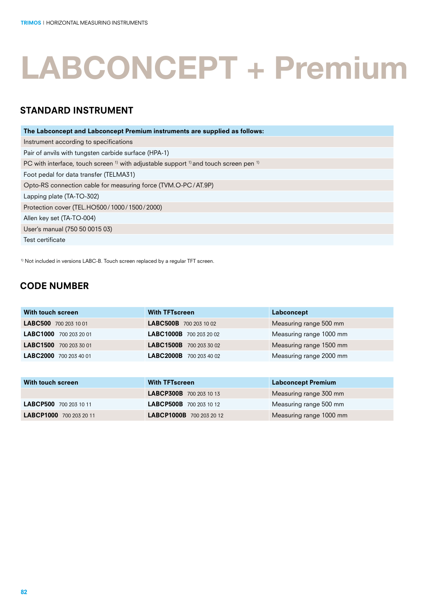### STANDARD INSTRUMENT

| The Labconcept and Labconcept Premium instruments are supplied as follows:                                             |
|------------------------------------------------------------------------------------------------------------------------|
| Instrument according to specifications                                                                                 |
| Pair of anvils with tungsten carbide surface (HPA-1)                                                                   |
| PC with interface, touch screen $\frac{1}{1}$ with adjustable support $\frac{1}{1}$ and touch screen pen $\frac{1}{1}$ |
| Foot pedal for data transfer (TELMA31)                                                                                 |
| Opto-RS connection cable for measuring force (TVM.O-PC/AT.9P)                                                          |
| Lapping plate (TA-TO-302)                                                                                              |
| Protection cover (TEL.HO500/1000/1500/2000)                                                                            |
| Allen key set (TA-TO-004)                                                                                              |
| User's manual (750 50 0015 03)                                                                                         |
| Test certificate                                                                                                       |

<sup>1)</sup> Not included in versions LABC-B. Touch screen replaced by a regular TFT screen.

### CODE NUMBER

| With touch screen      | <b>With TFTscreen</b>          | Labconcept              |
|------------------------|--------------------------------|-------------------------|
| LABC500 700 203 10 01  | <b>LABC500B</b> 700 203 10 02  | Measuring range 500 mm  |
| LABC1000 700 203 20 01 | <b>LABC1000B</b> 700 203 20 02 | Measuring range 1000 mm |
| LABC1500 700 203 30 01 | LABC1500B 700 203 30 02        | Measuring range 1500 mm |
| LABC2000 700 203 40 01 | <b>LABC2000B</b> 700 203 40 02 | Measuring range 2000 mm |

| With touch screen       | <b>With TFTscreen</b>          | <b>Labconcept Premium</b> |
|-------------------------|--------------------------------|---------------------------|
|                         | <b>LABCP300B</b> 700 203 10 13 | Measuring range 300 mm    |
| LABCP500 700 203 10 11  | <b>LABCP500B</b> 700 203 10 12 | Measuring range 500 mm    |
| LABCP1000 700 203 20 11 | LABCP1000B 700 203 20 12       | Measuring range 1000 mm   |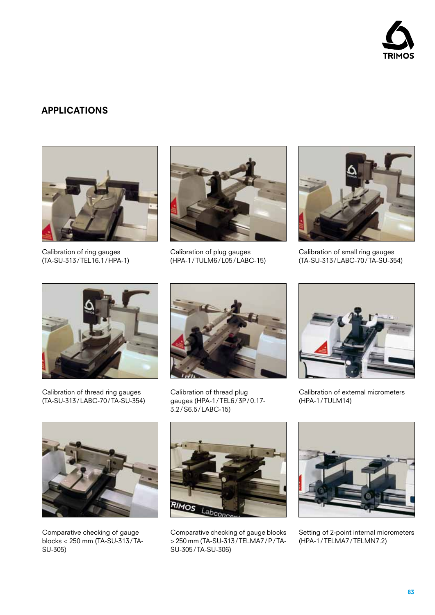

#### APPLICATIONS



Calibration of ring gauges (TA-SU-313/TEL16.1/HPA-1)



Calibration of plug gauges (HPA-1/TULM6/L05/LABC-15)



Calibration of small ring gauges (TA-SU-313/LABC-70/TA-SU-354)



Calibration of thread ring gauges (TA-SU-313/LABC-70/TA-SU-354)



Calibration of thread plug gauges (HPA-1/TEL6/3P/0.17- 3.2/S6.5/LABC-15)



Calibration of external micrometers (HPA-1/TULM14)



Comparative checking of gauge blocks < 250 mm (TA-SU-313/TA-SU-305)



Comparative checking of gauge blocks > 250 mm (TA-SU-313/TELMA7/P/TA-SU-305/TA-SU-306)



Setting of 2-point internal micrometers (HPA-1/TELMA7/TELMN7.2)